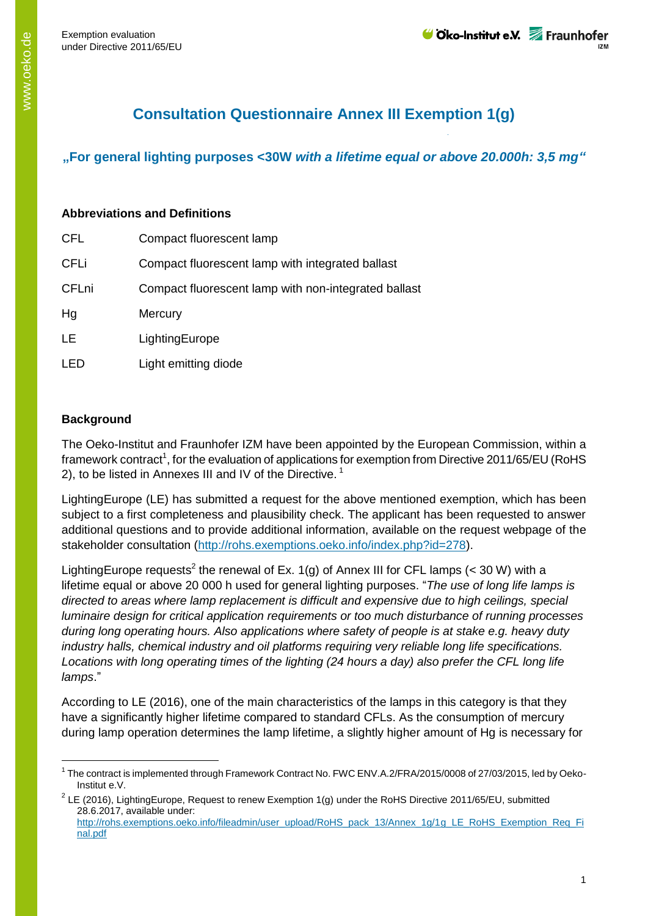## **Consultation Questionnaire Annex III Exemption 1(g)**

**"For general lighting purposes <30W** *with a lifetime equal or above 20.000h: 3,5 mg"*

## **Abbreviations and Definitions**

| <b>CFL</b>   | Compact fluorescent lamp                             |
|--------------|------------------------------------------------------|
| <b>CFLi</b>  | Compact fluorescent lamp with integrated ballast     |
| <b>CFLni</b> | Compact fluorescent lamp with non-integrated ballast |
| Hg           | Mercury                                              |
| LE           | LightingEurope                                       |
| LED.         | Light emitting diode                                 |

## **Background**

 $\overline{a}$ 

The Oeko-Institut and Fraunhofer IZM have been appointed by the European Commission, within a framework contract<sup>1</sup>, for the evaluation of applications for exemption from Directive 2011/65/EU (RoHS 2), to be listed in Annexes III and IV of the Directive.<sup>1</sup>

LightingEurope (LE) has submitted a request for the above mentioned exemption, which has been subject to a first completeness and plausibility check. The applicant has been requested to answer additional questions and to provide additional information, available on the request webpage of the stakeholder consultation [\(http://rohs.exemptions.oeko.info/index.php?id=278\)](http://rohs.exemptions.oeko.info/index.php?id=278).

LightingEurope requests<sup>2</sup> the renewal of Ex. 1(g) of Annex III for CFL lamps (< 30 W) with a lifetime equal or above 20 000 h used for general lighting purposes. "*The use of long life lamps is directed to areas where lamp replacement is difficult and expensive due to high ceilings, special luminaire design for critical application requirements or too much disturbance of running processes during long operating hours. Also applications where safety of people is at stake e.g. heavy duty industry halls, chemical industry and oil platforms requiring very reliable long life specifications. Locations with long operating times of the lighting (24 hours a day) also prefer the CFL long life lamps*."

According to LE (2016), one of the main characteristics of the lamps in this category is that they have a significantly higher lifetime compared to standard CFLs. As the consumption of mercury during lamp operation determines the lamp lifetime, a slightly higher amount of Hg is necessary for

<sup>&</sup>lt;sup>1</sup> The contract is implemented through Framework Contract No. FWC ENV.A.2/FRA/2015/0008 of 27/03/2015, led by Oeko-Institut e.V.

<sup>&</sup>lt;sup>2</sup> LE (2016), LightingEurope, Request to renew Exemption 1(g) under the RoHS Directive 2011/65/EU, submitted 28.6.2017, available under: [http://rohs.exemptions.oeko.info/fileadmin/user\\_upload/RoHS\\_pack\\_13/Annex\\_1g/1g\\_LE\\_RoHS\\_Exemption\\_Req\\_Fi](http://rohs.exemptions.oeko.info/fileadmin/user_upload/RoHS_pack_13/Annex_1g/1g_LE_RoHS_Exemption_Req_Final.pdf)

[nal.pdf](http://rohs.exemptions.oeko.info/fileadmin/user_upload/RoHS_pack_13/Annex_1g/1g_LE_RoHS_Exemption_Req_Final.pdf)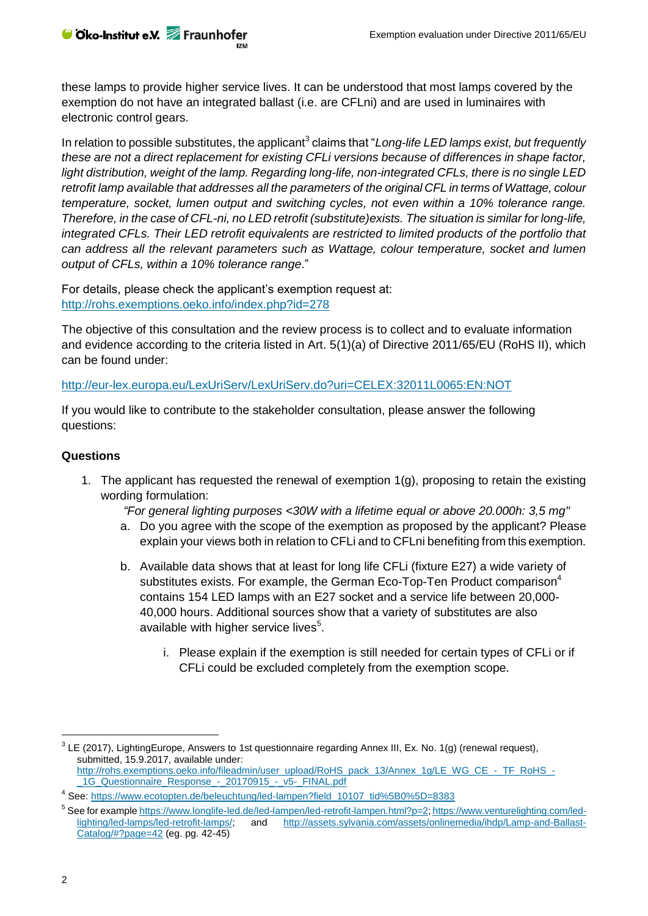these lamps to provide higher service lives. It can be understood that most lamps covered by the exemption do not have an integrated ballast (i.e. are CFLni) and are used in luminaires with electronic control gears.

In relation to possible substitutes, the applicant<sup>3</sup> claims that "*Long-life LED lamps exist, but frequently these are not a direct replacement for existing CFLi versions because of differences in shape factor, light distribution, weight of the lamp. Regarding long-life, non-integrated CFLs, there is no single LED retrofit lamp available that addresses all the parameters of the original CFL in terms of Wattage, colour temperature, socket, lumen output and switching cycles, not even within a 10% tolerance range. Therefore, in the case of CFL-ni, no LED retrofit (substitute)exists. The situation is similar for long-life, integrated CFLs. Their LED retrofit equivalents are restricted to limited products of the portfolio that can address all the relevant parameters such as Wattage, colour temperature, socket and lumen output of CFLs, within a 10% tolerance range*."

For details, please check the applicant's exemption request at: <http://rohs.exemptions.oeko.info/index.php?id=278>

The objective of this consultation and the review process is to collect and to evaluate information and evidence according to the criteria listed in Art. 5(1)(a) of Directive 2011/65/EU (RoHS II), which can be found under:

<http://eur-lex.europa.eu/LexUriServ/LexUriServ.do?uri=CELEX:32011L0065:EN:NOT>

If you would like to contribute to the stakeholder consultation, please answer the following questions:

## **Questions**

1. The applicant has requested the renewal of exemption  $1(g)$ , proposing to retain the existing wording formulation:

*"For general lighting purposes <30W with a lifetime equal or above 20.000h: 3,5 mg"*

- a. Do you agree with the scope of the exemption as proposed by the applicant? Please explain your views both in relation to CFLi and to CFLni benefiting from this exemption.
- b. Available data shows that at least for long life CFLi (fixture E27) a wide variety of substitutes exists. For example, the German Eco-Top-Ten Product comparison<sup>4</sup> contains 154 LED lamps with an E27 socket and a service life between 20,000- 40,000 hours. Additional sources show that a variety of substitutes are also available with higher service lives<sup>5</sup>.
	- i. Please explain if the exemption is still needed for certain types of CFLi or if CFLi could be excluded completely from the exemption scope.

 $\overline{a}$ 

 $3$  LE (2017), LightingEurope, Answers to 1st questionnaire regarding Annex III, Ex. No. 1(g) (renewal request), submitted, 15.9.2017, available under: [http://rohs.exemptions.oeko.info/fileadmin/user\\_upload/RoHS\\_pack\\_13/Annex\\_1g/LE\\_WG\\_CE\\_-\\_TF\\_RoHS\\_-](http://rohs.exemptions.oeko.info/fileadmin/user_upload/RoHS_pack_13/Annex_1g/LE_WG_CE_-_TF_RoHS_-_1G_Questionnaire_Response_-_20170915_-_v5-_FINAL.pdf) 1G\_Questionnaire\_Response\_-\_20170915\_-\_v5-\_FINAL.pdf

<sup>&</sup>lt;sup>4</sup> See[: https://www.ecotopten.de/beleuchtung/led-lampen?field\\_10107\\_tid%5B0%5D=8383](https://www.ecotopten.de/beleuchtung/led-lampen?field_10107_tid%5B0%5D=8383)

<sup>&</sup>lt;sup>5</sup> See for exampl[e https://www.longlife-led.de/led-lampen/led-retrofit-lampen.html?p=2](https://www.longlife-led.de/led-lampen/led-retrofit-lampen.html?p=2)[; https://www.venturelighting.com/led](https://www.venturelighting.com/led-lighting/led-lamps/led-retrofit-lamps/)[lighting/led-lamps/led-retrofit-lamps/;](https://www.venturelighting.com/led-lighting/led-lamps/led-retrofit-lamps/) and [http://assets.sylvania.com/assets/onlinemedia/ihdp/Lamp-and-Ballast-](http://assets.sylvania.com/assets/onlinemedia/ihdp/Lamp-and-Ballast-Catalog/#?page=42)[Catalog/#?page=42](http://assets.sylvania.com/assets/onlinemedia/ihdp/Lamp-and-Ballast-Catalog/#?page=42) (eg. pg. 42-45)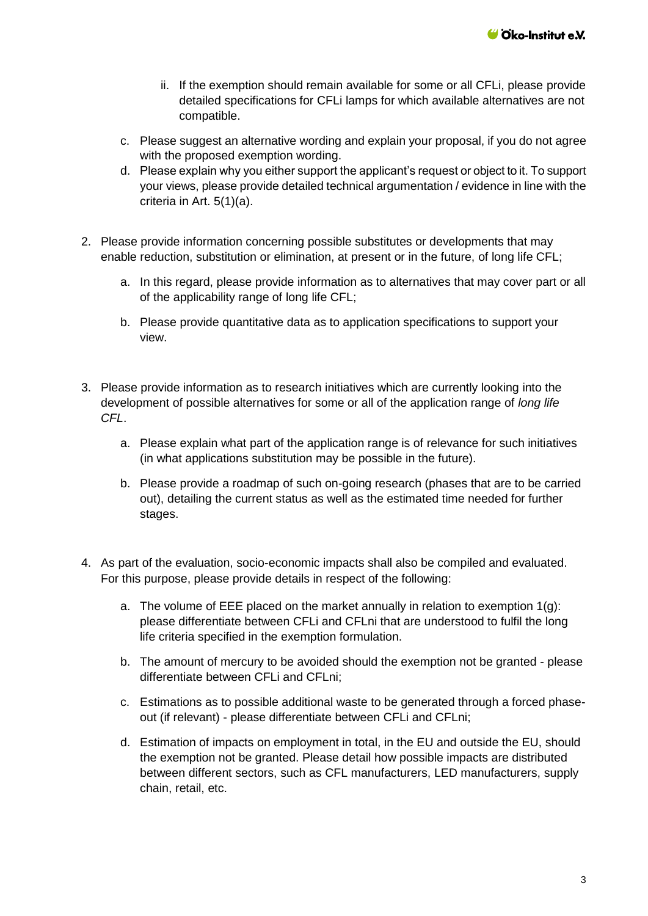- ii. If the exemption should remain available for some or all CFLi, please provide detailed specifications for CFLi lamps for which available alternatives are not compatible.
- c. Please suggest an alternative wording and explain your proposal, if you do not agree with the proposed exemption wording.
- d. Please explain why you either support the applicant's request or object to it. To support your views, please provide detailed technical argumentation / evidence in line with the criteria in Art. 5(1)(a).
- 2. Please provide information concerning possible substitutes or developments that may enable reduction, substitution or elimination, at present or in the future, of long life CFL;
	- a. In this regard, please provide information as to alternatives that may cover part or all of the applicability range of long life CFL;
	- b. Please provide quantitative data as to application specifications to support your view.
- 3. Please provide information as to research initiatives which are currently looking into the development of possible alternatives for some or all of the application range of *long life CFL*.
	- a. Please explain what part of the application range is of relevance for such initiatives (in what applications substitution may be possible in the future).
	- b. Please provide a roadmap of such on-going research (phases that are to be carried out), detailing the current status as well as the estimated time needed for further stages.
- 4. As part of the evaluation, socio-economic impacts shall also be compiled and evaluated. For this purpose, please provide details in respect of the following:
	- a. The volume of EEE placed on the market annually in relation to exemption  $1(q)$ : please differentiate between CFLi and CFLni that are understood to fulfil the long life criteria specified in the exemption formulation.
	- b. The amount of mercury to be avoided should the exemption not be granted please differentiate between CFLi and CFLni;
	- c. Estimations as to possible additional waste to be generated through a forced phaseout (if relevant) - please differentiate between CFLi and CFLni;
	- d. Estimation of impacts on employment in total, in the EU and outside the EU, should the exemption not be granted. Please detail how possible impacts are distributed between different sectors, such as CFL manufacturers, LED manufacturers, supply chain, retail, etc.